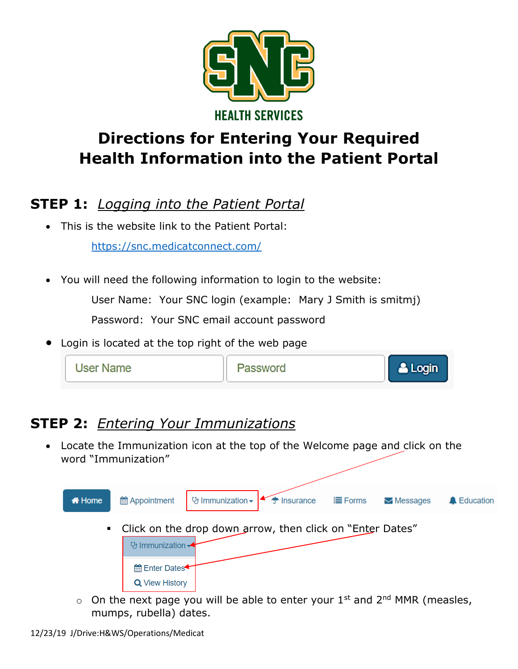

# **Directions for Entering Your Required Health Information into the Patient Portal**

#### **STEP 1:** *Logging into the Patient Portal*

This is the website link to the Patient Portal:

<https://snc.medicatconnect.com/>

You will need the following information to login to the website:

User Name: Your SNC login (example: Mary J Smith is smitmj)

Password: Your SNC email account password

Login is located at the top right of the web page



## **STEP 2:** *Entering Your Immunizations*

 Locate the Immunization icon at the top of the Welcome page and click on the word "Immunization"



 $\circ$  On the next page you will be able to enter your 1<sup>st</sup> and 2<sup>nd</sup> MMR (measles, mumps, rubella) dates.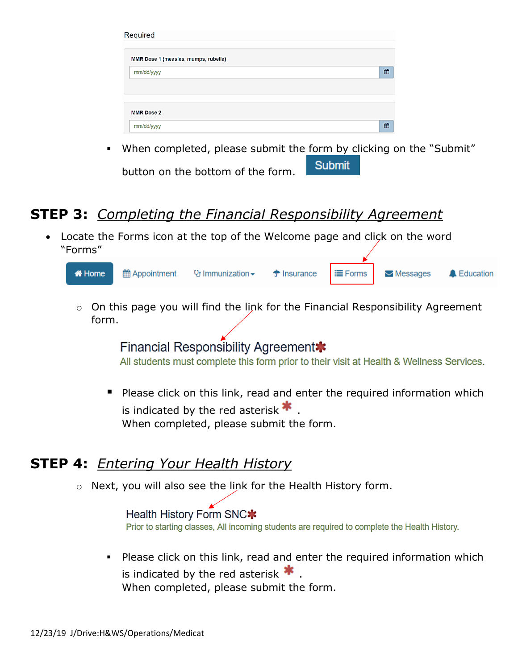| Required                             |   |
|--------------------------------------|---|
| MMR Dose 1 (measles, mumps, rubella) |   |
| mm/dd/yyyy                           | 巤 |
|                                      |   |
| <b>MMR Dose 2</b>                    |   |
| mm/dd/yyyy                           | 饂 |

 When completed, please submit the form by clicking on the "Submit" Submit button on the bottom of the form.

### **STEP 3:** *Completing the Financial Responsibility Agreement*

 Locate the Forms icon at the top of the Welcome page and click on the word "Forms"



o On this page you will find the link for the Financial Responsibility Agreement form.

> Financial Responsibility Agreement\* All students must complete this form prior to their visit at Health & Wellness Services.

Please click on this link, read and enter the required information which is indicated by the red asterisk  $\ast$ When completed, please submit the form.

#### **STEP 4:** *Entering Your Health History*

o Next, you will also see the link for the Health History form.

Health History Form SNC\* Prior to starting classes, All incoming students are required to complete the Health History.

**Please click on this link, read and enter the required information which** is indicated by the red asterisk  $\bigstar$ . When completed, please submit the form.